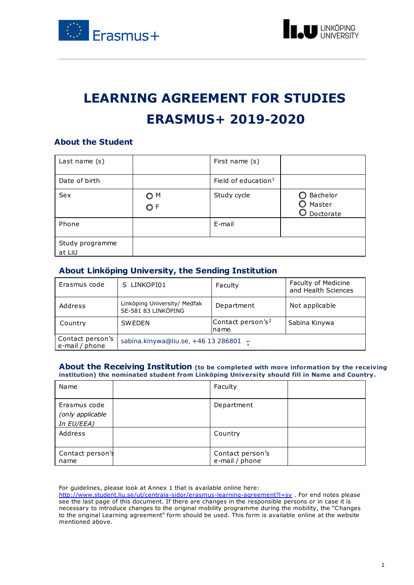



# **LEARNING AGREEMENT FOR STUDIES ERASMUS+ 2019-2020**

# **About the Student**

| Last name (s)             |           | First name (s)                  |                                 |
|---------------------------|-----------|---------------------------------|---------------------------------|
| Date of birth             |           | Field of education <sup>1</sup> |                                 |
| Sex                       | O M<br>OF | Study cycle                     | Bachelor<br>Master<br>Doctorate |
| Phone                     |           | E-mail                          |                                 |
| Study programme<br>at LiU |           |                                 |                                 |

# **About Linköping University, the Sending Institution**

| Erasmus code                       | S LINKOPI01                                         | Faculty                                | Faculty of Medicine<br>and Health Sciences |
|------------------------------------|-----------------------------------------------------|----------------------------------------|--------------------------------------------|
| Address                            | Linköping University/ Medfak<br>SE-581 83 LINKÖPING | Department                             | Not applicable                             |
| Country                            | <b>SWEDEN</b>                                       | Contact person's <sup>2</sup><br>Iname | Sabina Kinywa                              |
| Contact person's<br>e-mail / phone | sabina.kinywa@liu.se, +46 13 286801 -               |                                        |                                            |

#### **About the Receiving Institution (to be completed with more information by the receiving institution) the nominated student from Linköping University should fill in Name and Country.**

| Name                                           | Faculty                            |
|------------------------------------------------|------------------------------------|
| Erasmus code<br>(only applicable<br>In EU/EEA) | Department                         |
| Address                                        | Country                            |
| Contact person's<br>name                       | Contact person's<br>e-mail / phone |

For guidelines, please look at Annex 1 that is available online here:

<http://www.student.liu.se/ut/centrala-sidor/erasmus-learning-agreement?l=sv>. For end notes please see the last page of this document. If there are changes in the responsible persons or in case it is necessary to introduce changes to the original mobility programme during the mobility, the "Changes to the original Learning agreement" form should be used. This form is available online at the website mentioned above.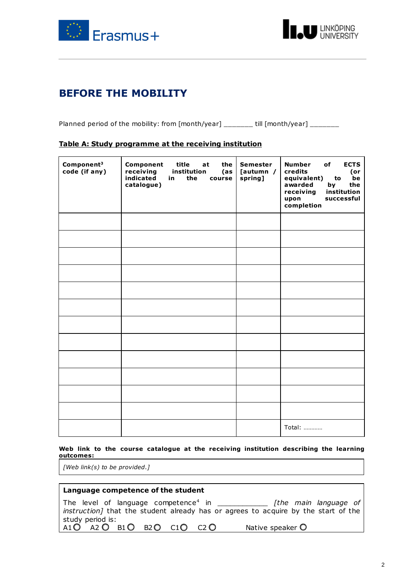



# **BEFORE THE MOBILITY**

Planned period of the mobility: from [month/year] \_\_\_\_\_\_\_ till [month/year] \_\_\_\_\_

## **Table A: Study programme at the receiving institution**

| Component <sup>3</sup><br>code (if any) | Component<br>title<br>at<br>the<br>receiving<br>institution<br>(as<br>indicated<br>in the<br>course<br>catalogue) | <b>Semester</b><br>[autumn /<br>spring] | <b>Number</b><br>of<br><b>ECTS</b><br>credits<br>(or<br>equivalent)<br>to<br>be<br>awarded<br>by<br>the<br>receiving<br>institution<br>successful<br>upon<br>completion |
|-----------------------------------------|-------------------------------------------------------------------------------------------------------------------|-----------------------------------------|-------------------------------------------------------------------------------------------------------------------------------------------------------------------------|
|                                         |                                                                                                                   |                                         |                                                                                                                                                                         |
|                                         |                                                                                                                   |                                         |                                                                                                                                                                         |
|                                         |                                                                                                                   |                                         |                                                                                                                                                                         |
|                                         |                                                                                                                   |                                         |                                                                                                                                                                         |
|                                         |                                                                                                                   |                                         |                                                                                                                                                                         |
|                                         |                                                                                                                   |                                         |                                                                                                                                                                         |
|                                         |                                                                                                                   |                                         |                                                                                                                                                                         |
|                                         |                                                                                                                   |                                         |                                                                                                                                                                         |
|                                         |                                                                                                                   |                                         |                                                                                                                                                                         |
|                                         |                                                                                                                   |                                         |                                                                                                                                                                         |
|                                         |                                                                                                                   |                                         |                                                                                                                                                                         |
|                                         |                                                                                                                   |                                         |                                                                                                                                                                         |
|                                         |                                                                                                                   |                                         | Total:                                                                                                                                                                  |

#### **Web link to the course catalogue at the receiving institution describing the learning outcomes:**

*[Web link(s) to be provided.]*

# **Language competence of the student**

The level of language competence<sup>4</sup> in \_\_\_\_\_\_\_\_\_\_\_\_ *[the main language of instruction]* that the student already has or agrees to acquire by the start of the study period is:  $A1O$   $A2O$   $B1O$   $B2O$   $C1O$   $C2O$  Native speaker  $O$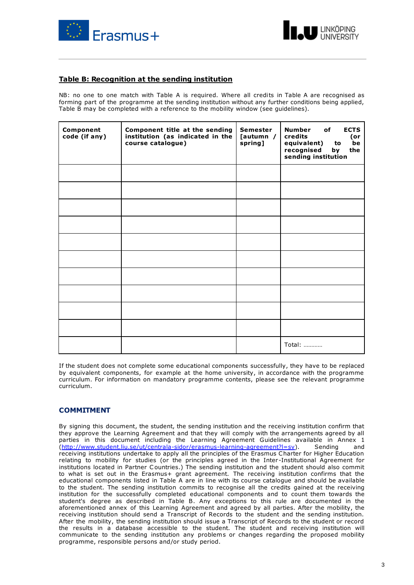



#### **Table B: Recognition at the sending institution**

NB: no one to one match with Table A is required. Where all credits in Table A are recognised as forming part of the programme at the sending institution without any further conditions being applied, Table B may be completed with a reference to the mobility window (see guidelines).

| Component<br>code (if any) | Component title at the sending<br>institution (as indicated in the<br>course catalogue) | <b>Semester</b><br>[autumn /<br>spring] | <b>Number</b><br><b>ECTS</b><br>of<br>credits<br>(or<br>equivalent)<br>be<br>to<br>recognised<br>the<br>by<br>sending institution |
|----------------------------|-----------------------------------------------------------------------------------------|-----------------------------------------|-----------------------------------------------------------------------------------------------------------------------------------|
|                            |                                                                                         |                                         |                                                                                                                                   |
|                            |                                                                                         |                                         |                                                                                                                                   |
|                            |                                                                                         |                                         |                                                                                                                                   |
|                            |                                                                                         |                                         |                                                                                                                                   |
|                            |                                                                                         |                                         |                                                                                                                                   |
|                            |                                                                                         |                                         |                                                                                                                                   |
|                            |                                                                                         |                                         |                                                                                                                                   |
|                            |                                                                                         |                                         |                                                                                                                                   |
|                            |                                                                                         |                                         |                                                                                                                                   |
|                            |                                                                                         |                                         |                                                                                                                                   |
|                            |                                                                                         |                                         | Total:                                                                                                                            |

If the student does not complete some educational components successfully, they have to be replaced by equivalent components, for example at the home university, in accordance with the programme curriculum. For information on mandatory programme contents, please see the relevant programme curriculum.

#### **COMMITMENT**

By signing this document, the student, the sending institution and the receiving institution confirm that they approve the Learning Agreement and that they will comply with the arrangements agreed by all parties in this document including the Learning Agreement Guidelines available in Annex 1 [\(http://www.student.liu.se/ut/centrala-sidor/erasmus-learning-agreement?l=sv\)](http://www.student.liu.se/ut/centrala-sidor/erasmus-learning-agreement?l=sv). Sending and receiving institutions undertake to apply all the principles of the Erasmus Charter for Higher Education relating to mobility for studies (or the principles agreed in the Inter -Institutional Agreement for institutions located in Partner C ountries.) The sending institution and the student should also commit to what is set out in the Erasmus+ grant agreement. The receiving institution confirms that the educational components listed in Table A are in line with its course catalogue and should be available to the student. The sending institution commits to recognise all the credits gained at the receiving institution for the successfully completed educational components and to count them towards the student's degree as described in Table B. Any exceptions to this rule are documented in the aforementioned annex of this Learning Agreement and agreed by all parties. After the mobility, the receiving institution should send a Transcript of Records to the student and the sending institution. After the mobility, the sending institution should issue a Transcript of Records to the student or record the results in a database accessible to the student. The student and receiving institution will communicate to the sending institution any problems or changes regarding the proposed mobility programme, responsible persons and/or study period.